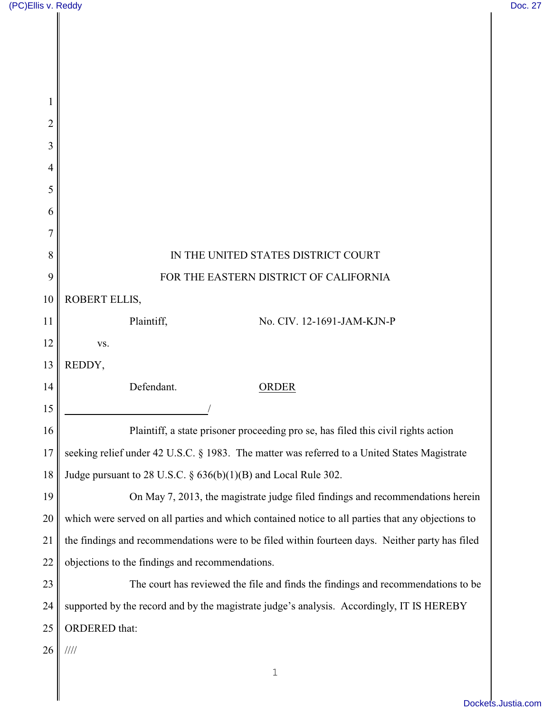Π

| 1              |                                                                                                   |
|----------------|---------------------------------------------------------------------------------------------------|
| 2              |                                                                                                   |
| 3              |                                                                                                   |
| $\overline{4}$ |                                                                                                   |
| 5              |                                                                                                   |
| 6              |                                                                                                   |
| 7              |                                                                                                   |
| 8              | IN THE UNITED STATES DISTRICT COURT                                                               |
| 9              | FOR THE EASTERN DISTRICT OF CALIFORNIA                                                            |
| 10             | ROBERT ELLIS,                                                                                     |
| 11             | Plaintiff,<br>No. CIV. 12-1691-JAM-KJN-P                                                          |
| 12             | VS.                                                                                               |
| 13             | REDDY,                                                                                            |
| 14             | Defendant.<br>ORDER                                                                               |
| 15             |                                                                                                   |
| 16             | Plaintiff, a state prisoner proceeding pro se, has filed this civil rights action                 |
| 17             | seeking relief under 42 U.S.C. § 1983. The matter was referred to a United States Magistrate      |
| 18             | Judge pursuant to 28 U.S.C. § 636(b)(1)(B) and Local Rule 302.                                    |
| 19             | On May 7, 2013, the magistrate judge filed findings and recommendations herein                    |
| 20             | which were served on all parties and which contained notice to all parties that any objections to |
| 21             | the findings and recommendations were to be filed within fourteen days. Neither party has filed   |
| 22             | objections to the findings and recommendations.                                                   |
| 23             | The court has reviewed the file and finds the findings and recommendations to be                  |
| 24             | supported by the record and by the magistrate judge's analysis. Accordingly, IT IS HEREBY         |
| 25             | ORDERED that:                                                                                     |
| 26             | 1111                                                                                              |
|                | $\mathbf 1$                                                                                       |
|                |                                                                                                   |